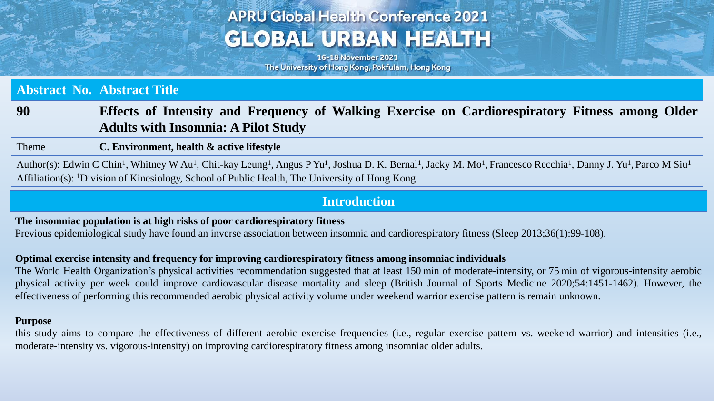## **APRU Global Health Conference 2021 GLOBAL URBAN HEALTH**

16-18 November 2021 The University of Hong Kong, Pokfulam, Hong Kong

### **Abstract No. Abstract Title**

## **90 Effects of Intensity and Frequency of Walking Exercise on Cardiorespiratory Fitness among Older Adults with Insomnia: A Pilot Study**

#### Theme **C. Environment, health & active lifestyle**

Author(s): Edwin C Chin<sup>1</sup>, Whitney W Au<sup>1</sup>, Chit-kay Leung<sup>1</sup>, Angus P Yu<sup>1</sup>, Joshua D. K. Bernal<sup>1</sup>, Jacky M. Mo<sup>1</sup>, Francesco Recchia<sup>1</sup>, Danny J. Yu<sup>1</sup>, Parco M Siu<sup>1</sup> Affiliation(s): <sup>1</sup>Division of Kinesiology, School of Public Health, The University of Hong Kong

## **Introduction**

**The insomniac population is at high risks of poor cardiorespiratory fitness**

Previous epidemiological study have found an inverse association between insomnia and cardiorespiratory fitness (Sleep 2013;36(1):99-108).

### **Optimal exercise intensity and frequency for improving cardiorespiratory fitness among insomniac individuals**

The World Health Organization's physical activities recommendation suggested that at least 150 min of moderate-intensity, or 75 min of vigorous-intensity aerobic physical activity per week could improve cardiovascular disease mortality and sleep (British Journal of Sports Medicine 2020;54:1451-1462). However, the effectiveness of performing this recommended aerobic physical activity volume under weekend warrior exercise pattern is remain unknown.

#### **Purpose**

this study aims to compare the effectiveness of different aerobic exercise frequencies (i.e., regular exercise pattern vs. weekend warrior) and intensities (i.e., moderate-intensity vs. vigorous-intensity) on improving cardiorespiratory fitness among insomniac older adults.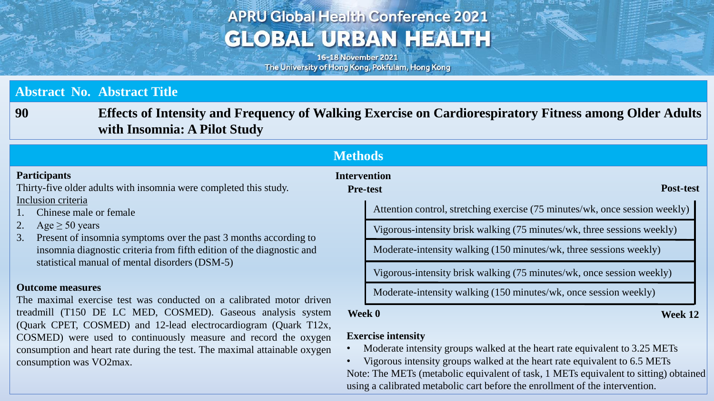# **APRU Global Health Conference 2021 GLOBAL URBAN HEALTH**

16-18 November 2021 The University of Hong Kong, Pokfulam, Hong Kong

## **Abstract No. Abstract Title**

consumption was VO2max.

**90 Effects of Intensity and Frequency of Walking Exercise on Cardiorespiratory Fitness among Older Adults with Insomnia: A Pilot Study**

| <b>Methods</b>                                                                                                                                                                                                                                                                                                                                                                                                                                                                                                                                                                                                                                                                |                                        |                                                                                                         |
|-------------------------------------------------------------------------------------------------------------------------------------------------------------------------------------------------------------------------------------------------------------------------------------------------------------------------------------------------------------------------------------------------------------------------------------------------------------------------------------------------------------------------------------------------------------------------------------------------------------------------------------------------------------------------------|----------------------------------------|---------------------------------------------------------------------------------------------------------|
| <b>Participants</b><br>Thirty-five older adults with insomnia were completed this study.                                                                                                                                                                                                                                                                                                                                                                                                                                                                                                                                                                                      | <b>Intervention</b><br><b>Pre-test</b> | <b>Post-test</b>                                                                                        |
| Inclusion criteria<br>Chinese male or female<br>2.<br>Age $\geq 50$ years<br>Present of insomnia symptoms over the past 3 months according to<br>3.<br>insomnia diagnostic criteria from fifth edition of the diagnostic and<br>statistical manual of mental disorders (DSM-5)<br><b>Outcome measures</b><br>The maximal exercise test was conducted on a calibrated motor driven<br>treadmill (T150 DE LC MED, COSMED). Gaseous analysis system<br>Week 0<br>(Quark CPET, COSMED) and 12-lead electrocardiogram (Quark T12x,<br>COSMED) were used to continuously measure and record the oxygen<br>consumption and heart rate during the test. The maximal attainable oxygen |                                        | Attention control, stretching exercise (75 minutes/wk, once session weekly)                             |
|                                                                                                                                                                                                                                                                                                                                                                                                                                                                                                                                                                                                                                                                               |                                        | Vigorous-intensity brisk walking (75 minutes/wk, three sessions weekly)                                 |
|                                                                                                                                                                                                                                                                                                                                                                                                                                                                                                                                                                                                                                                                               |                                        | Moderate-intensity walking (150 minutes/wk, three sessions weekly)                                      |
|                                                                                                                                                                                                                                                                                                                                                                                                                                                                                                                                                                                                                                                                               |                                        | Vigorous-intensity brisk walking (75 minutes/wk, once session weekly)                                   |
|                                                                                                                                                                                                                                                                                                                                                                                                                                                                                                                                                                                                                                                                               |                                        | Moderate-intensity walking (150 minutes/wk, once session weekly)                                        |
|                                                                                                                                                                                                                                                                                                                                                                                                                                                                                                                                                                                                                                                                               | Week 12                                |                                                                                                         |
|                                                                                                                                                                                                                                                                                                                                                                                                                                                                                                                                                                                                                                                                               |                                        | <b>Exercise intensity</b><br>Moderate intensity groups walked at the heart rate equivalent to 3.25 METs |

• Vigorous intensity groups walked at the heart rate equivalent to 6.5 METs Note: The METs (metabolic equivalent of task, 1 METs equivalent to sitting) obtained using a calibrated metabolic cart before the enrollment of the intervention.